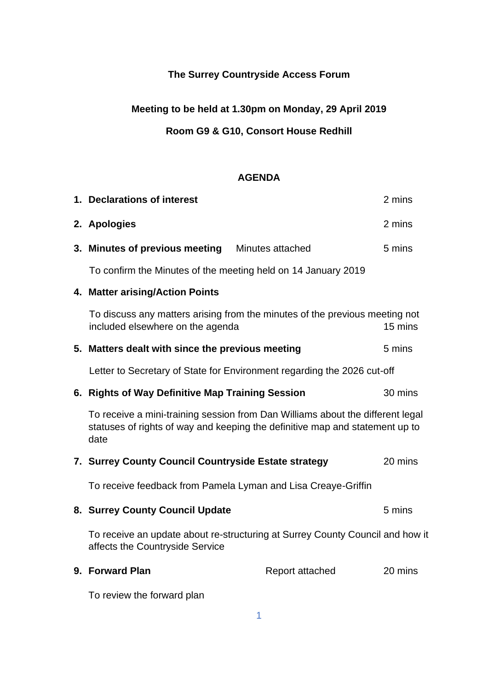# **The Surrey Countryside Access Forum**

# **Meeting to be held at 1.30pm on Monday, 29 April 2019**

## **Room G9 & G10, Consort House Redhill**

### **AGENDA**

| 1. Declarations of interest                                                                                                                                            |                 |         |
|------------------------------------------------------------------------------------------------------------------------------------------------------------------------|-----------------|---------|
| 2. Apologies                                                                                                                                                           |                 | 2 mins  |
| 3. Minutes of previous meeting Minutes attached                                                                                                                        |                 | 5 mins  |
| To confirm the Minutes of the meeting held on 14 January 2019                                                                                                          |                 |         |
| 4. Matter arising/Action Points                                                                                                                                        |                 |         |
| To discuss any matters arising from the minutes of the previous meeting not<br>included elsewhere on the agenda                                                        |                 | 15 mins |
| 5. Matters dealt with since the previous meeting                                                                                                                       |                 | 5 mins  |
| Letter to Secretary of State for Environment regarding the 2026 cut-off                                                                                                |                 |         |
| 6. Rights of Way Definitive Map Training Session                                                                                                                       |                 | 30 mins |
| To receive a mini-training session from Dan Williams about the different legal<br>statuses of rights of way and keeping the definitive map and statement up to<br>date |                 |         |
| 7. Surrey County Council Countryside Estate strategy                                                                                                                   | 20 mins         |         |
| To receive feedback from Pamela Lyman and Lisa Creaye-Griffin                                                                                                          |                 |         |
| 8. Surrey County Council Update                                                                                                                                        |                 | 5 mins  |
| To receive an update about re-structuring at Surrey County Council and how it<br>affects the Countryside Service                                                       |                 |         |
| 9. Forward Plan                                                                                                                                                        | Report attached | 20 mins |
| To review the forward plan                                                                                                                                             |                 |         |